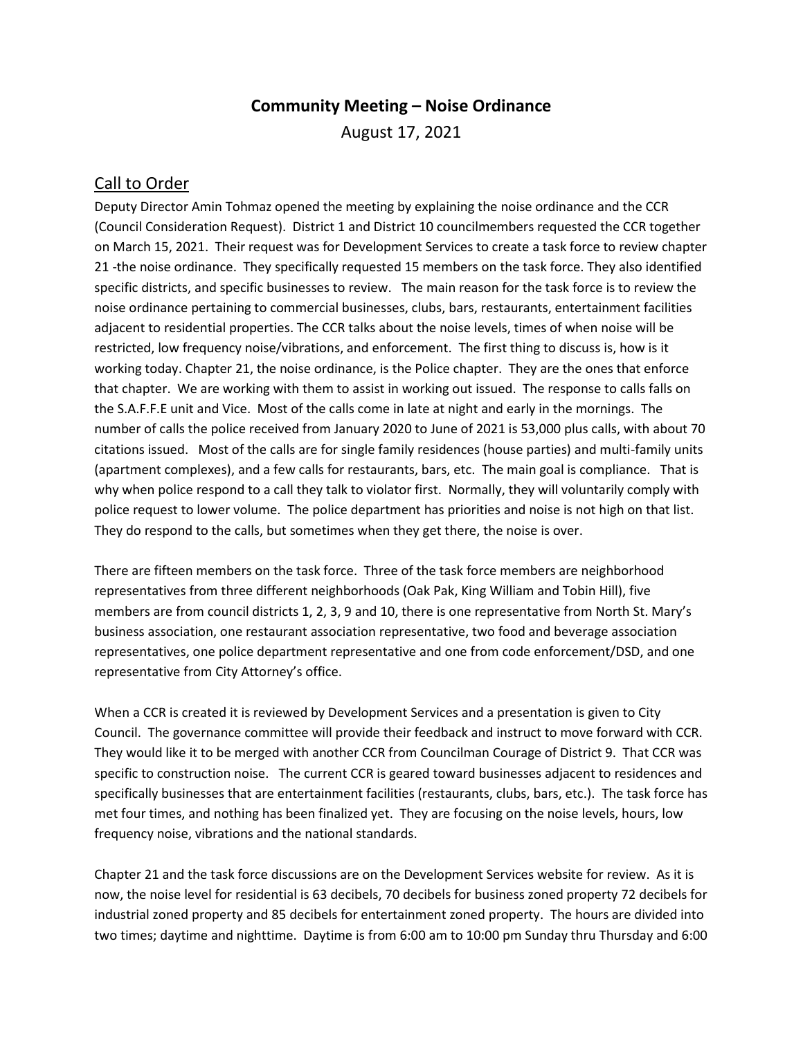## **Community Meeting – Noise Ordinance** August 17, 2021

## Call to Order

Deputy Director Amin Tohmaz opened the meeting by explaining the noise ordinance and the CCR (Council Consideration Request). District 1 and District 10 councilmembers requested the CCR together on March 15, 2021. Their request was for Development Services to create a task force to review chapter 21 -the noise ordinance. They specifically requested 15 members on the task force. They also identified specific districts, and specific businesses to review. The main reason for the task force is to review the noise ordinance pertaining to commercial businesses, clubs, bars, restaurants, entertainment facilities adjacent to residential properties. The CCR talks about the noise levels, times of when noise will be restricted, low frequency noise/vibrations, and enforcement. The first thing to discuss is, how is it working today. Chapter 21, the noise ordinance, is the Police chapter. They are the ones that enforce that chapter. We are working with them to assist in working out issued. The response to calls falls on the S.A.F.F.E unit and Vice. Most of the calls come in late at night and early in the mornings. The number of calls the police received from January 2020 to June of 2021 is 53,000 plus calls, with about 70 citations issued. Most of the calls are for single family residences (house parties) and multi-family units (apartment complexes), and a few calls for restaurants, bars, etc. The main goal is compliance. That is why when police respond to a call they talk to violator first. Normally, they will voluntarily comply with police request to lower volume. The police department has priorities and noise is not high on that list. They do respond to the calls, but sometimes when they get there, the noise is over.

There are fifteen members on the task force. Three of the task force members are neighborhood representatives from three different neighborhoods (Oak Pak, King William and Tobin Hill), five members are from council districts 1, 2, 3, 9 and 10, there is one representative from North St. Mary's business association, one restaurant association representative, two food and beverage association representatives, one police department representative and one from code enforcement/DSD, and one representative from City Attorney's office.

When a CCR is created it is reviewed by Development Services and a presentation is given to City Council. The governance committee will provide their feedback and instruct to move forward with CCR. They would like it to be merged with another CCR from Councilman Courage of District 9. That CCR was specific to construction noise. The current CCR is geared toward businesses adjacent to residences and specifically businesses that are entertainment facilities (restaurants, clubs, bars, etc.). The task force has met four times, and nothing has been finalized yet. They are focusing on the noise levels, hours, low frequency noise, vibrations and the national standards.

Chapter 21 and the task force discussions are on the Development Services website for review. As it is now, the noise level for residential is 63 decibels, 70 decibels for business zoned property 72 decibels for industrial zoned property and 85 decibels for entertainment zoned property. The hours are divided into two times; daytime and nighttime. Daytime is from 6:00 am to 10:00 pm Sunday thru Thursday and 6:00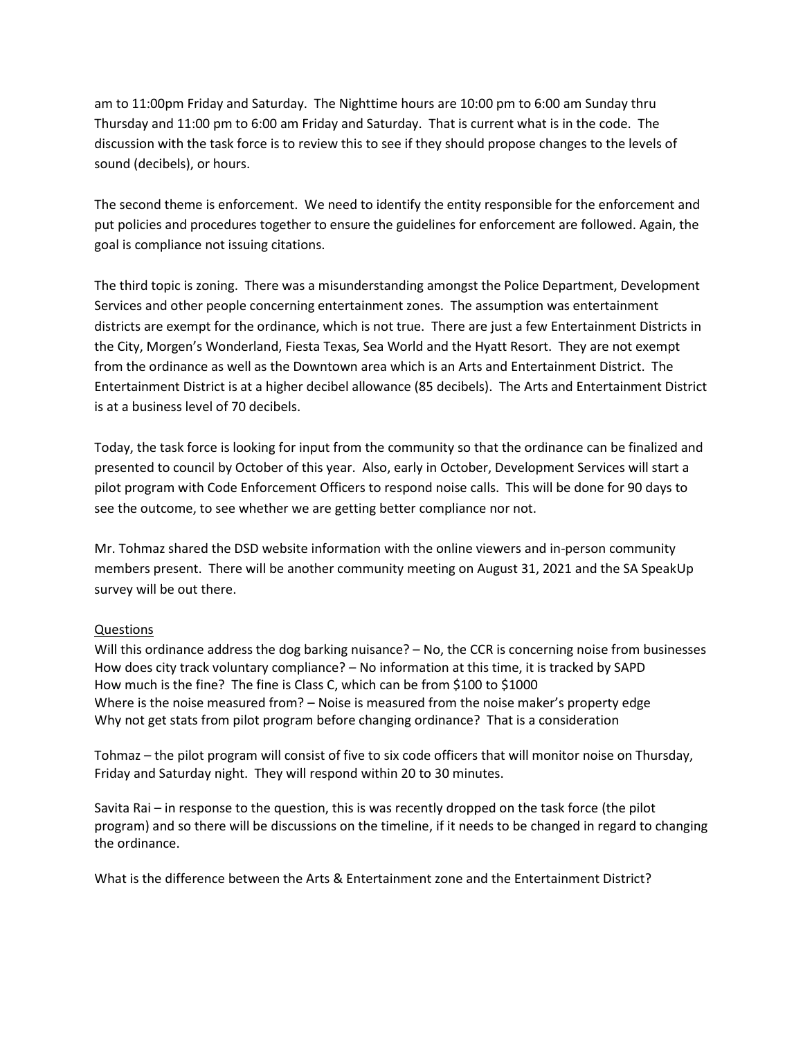am to 11:00pm Friday and Saturday. The Nighttime hours are 10:00 pm to 6:00 am Sunday thru Thursday and 11:00 pm to 6:00 am Friday and Saturday. That is current what is in the code. The discussion with the task force is to review this to see if they should propose changes to the levels of sound (decibels), or hours.

The second theme is enforcement. We need to identify the entity responsible for the enforcement and put policies and procedures together to ensure the guidelines for enforcement are followed. Again, the goal is compliance not issuing citations.

The third topic is zoning. There was a misunderstanding amongst the Police Department, Development Services and other people concerning entertainment zones. The assumption was entertainment districts are exempt for the ordinance, which is not true. There are just a few Entertainment Districts in the City, Morgen's Wonderland, Fiesta Texas, Sea World and the Hyatt Resort. They are not exempt from the ordinance as well as the Downtown area which is an Arts and Entertainment District. The Entertainment District is at a higher decibel allowance (85 decibels). The Arts and Entertainment District is at a business level of 70 decibels.

Today, the task force is looking for input from the community so that the ordinance can be finalized and presented to council by October of this year. Also, early in October, Development Services will start a pilot program with Code Enforcement Officers to respond noise calls. This will be done for 90 days to see the outcome, to see whether we are getting better compliance nor not.

Mr. Tohmaz shared the DSD website information with the online viewers and in-person community members present. There will be another community meeting on August 31, 2021 and the SA SpeakUp survey will be out there.

## Questions

Will this ordinance address the dog barking nuisance? – No, the CCR is concerning noise from businesses How does city track voluntary compliance? – No information at this time, it is tracked by SAPD How much is the fine? The fine is Class C, which can be from \$100 to \$1000 Where is the noise measured from? – Noise is measured from the noise maker's property edge Why not get stats from pilot program before changing ordinance? That is a consideration

Tohmaz – the pilot program will consist of five to six code officers that will monitor noise on Thursday, Friday and Saturday night. They will respond within 20 to 30 minutes.

Savita Rai – in response to the question, this is was recently dropped on the task force (the pilot program) and so there will be discussions on the timeline, if it needs to be changed in regard to changing the ordinance.

What is the difference between the Arts & Entertainment zone and the Entertainment District?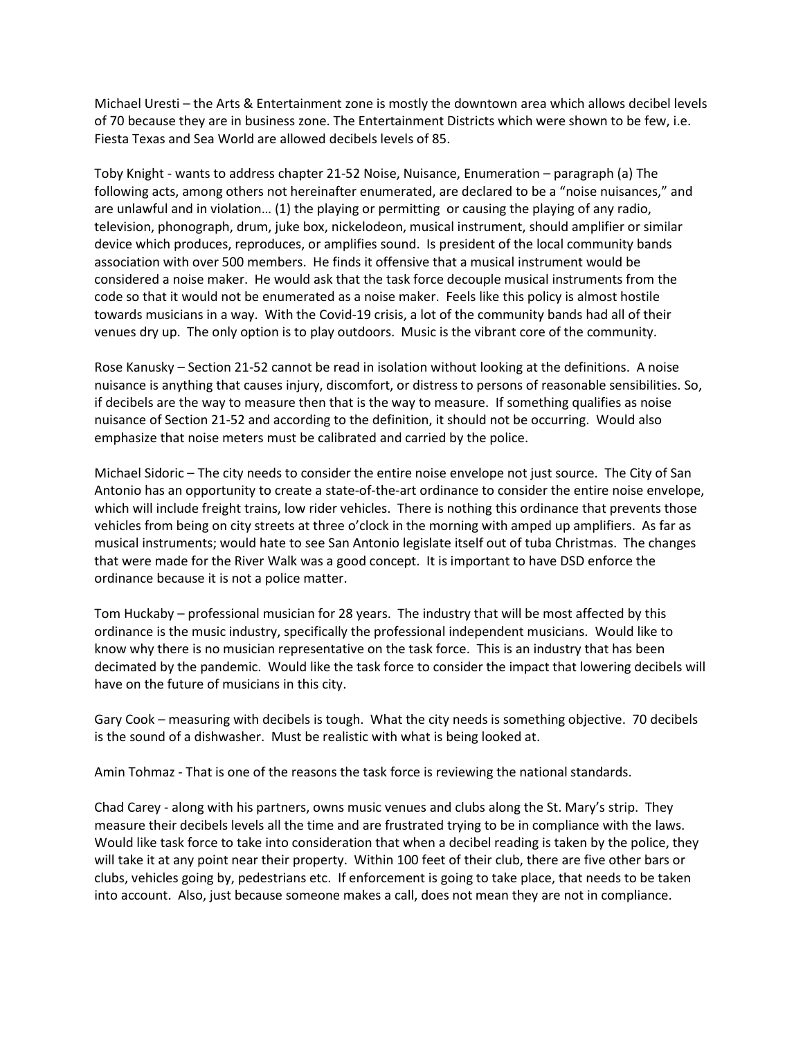Michael Uresti – the Arts & Entertainment zone is mostly the downtown area which allows decibel levels of 70 because they are in business zone. The Entertainment Districts which were shown to be few, i.e. Fiesta Texas and Sea World are allowed decibels levels of 85.

Toby Knight - wants to address chapter 21-52 Noise, Nuisance, Enumeration – paragraph (a) The following acts, among others not hereinafter enumerated, are declared to be a "noise nuisances," and are unlawful and in violation… (1) the playing or permitting or causing the playing of any radio, television, phonograph, drum, juke box, nickelodeon, musical instrument, should amplifier or similar device which produces, reproduces, or amplifies sound. Is president of the local community bands association with over 500 members. He finds it offensive that a musical instrument would be considered a noise maker. He would ask that the task force decouple musical instruments from the code so that it would not be enumerated as a noise maker. Feels like this policy is almost hostile towards musicians in a way. With the Covid-19 crisis, a lot of the community bands had all of their venues dry up. The only option is to play outdoors. Music is the vibrant core of the community.

Rose Kanusky – Section 21-52 cannot be read in isolation without looking at the definitions. A noise nuisance is anything that causes injury, discomfort, or distress to persons of reasonable sensibilities. So, if decibels are the way to measure then that is the way to measure. If something qualifies as noise nuisance of Section 21-52 and according to the definition, it should not be occurring. Would also emphasize that noise meters must be calibrated and carried by the police.

Michael Sidoric – The city needs to consider the entire noise envelope not just source. The City of San Antonio has an opportunity to create a state-of-the-art ordinance to consider the entire noise envelope, which will include freight trains, low rider vehicles. There is nothing this ordinance that prevents those vehicles from being on city streets at three o'clock in the morning with amped up amplifiers. As far as musical instruments; would hate to see San Antonio legislate itself out of tuba Christmas. The changes that were made for the River Walk was a good concept. It is important to have DSD enforce the ordinance because it is not a police matter.

Tom Huckaby – professional musician for 28 years. The industry that will be most affected by this ordinance is the music industry, specifically the professional independent musicians. Would like to know why there is no musician representative on the task force. This is an industry that has been decimated by the pandemic. Would like the task force to consider the impact that lowering decibels will have on the future of musicians in this city.

Gary Cook – measuring with decibels is tough. What the city needs is something objective. 70 decibels is the sound of a dishwasher. Must be realistic with what is being looked at.

Amin Tohmaz - That is one of the reasons the task force is reviewing the national standards.

Chad Carey - along with his partners, owns music venues and clubs along the St. Mary's strip. They measure their decibels levels all the time and are frustrated trying to be in compliance with the laws. Would like task force to take into consideration that when a decibel reading is taken by the police, they will take it at any point near their property. Within 100 feet of their club, there are five other bars or clubs, vehicles going by, pedestrians etc. If enforcement is going to take place, that needs to be taken into account. Also, just because someone makes a call, does not mean they are not in compliance.